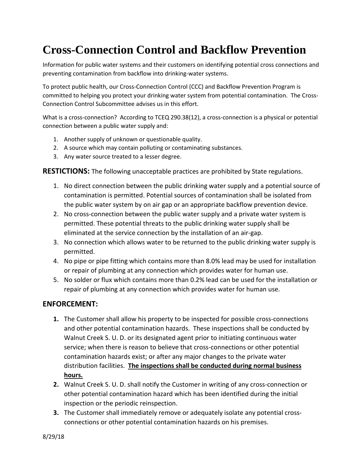## **Cross-Connection Control and Backflow Prevention**

Information for public water systems and their customers on identifying potential cross connections and preventing contamination from backflow into drinking-water systems.

To protect public health, our Cross-Connection Control (CCC) and Backflow Prevention Program is committed to helping you protect your drinking water system from potential contamination. The Cross-Connection Control Subcommittee advises us in this effort.

What is a cross-connection? According to TCEQ 290.38(12), a cross-connection is a physical or potential connection between a public water supply and:

- 1. Another supply of unknown or questionable quality.
- 2. A source which may contain polluting or contaminating substances.
- 3. Any water source treated to a lesser degree.

**RESTICTIONS:** The following unacceptable practices are prohibited by State regulations.

- 1. No direct connection between the public drinking water supply and a potential source of contamination is permitted. Potential sources of contamination shall be isolated from the public water system by on air gap or an appropriate backflow prevention device.
- 2. No cross-connection between the public water supply and a private water system is permitted. These potential threats to the public drinking water supply shall be eliminated at the service connection by the installation of an air-gap.
- 3. No connection which allows water to be returned to the public drinking water supply is permitted.
- 4. No pipe or pipe fitting which contains more than 8.0% lead may be used for installation or repair of plumbing at any connection which provides water for human use.
- 5. No solder or flux which contains more than 0.2% lead can be used for the installation or repair of plumbing at any connection which provides water for human use.

## **ENFORCEMENT:**

- **1.** The Customer shall allow his property to be inspected for possible cross-connections and other potential contamination hazards. These inspections shall be conducted by Walnut Creek S. U. D. or its designated agent prior to initiating continuous water service; when there is reason to believe that cross-connections or other potential contamination hazards exist; or after any major changes to the private water distribution facilities. **The inspections shall be conducted during normal business hours.**
- **2.** Walnut Creek S. U. D. shall notify the Customer in writing of any cross-connection or other potential contamination hazard which has been identified during the initial inspection or the periodic reinspection.
- **3.** The Customer shall immediately remove or adequately isolate any potential crossconnections or other potential contamination hazards on his premises.